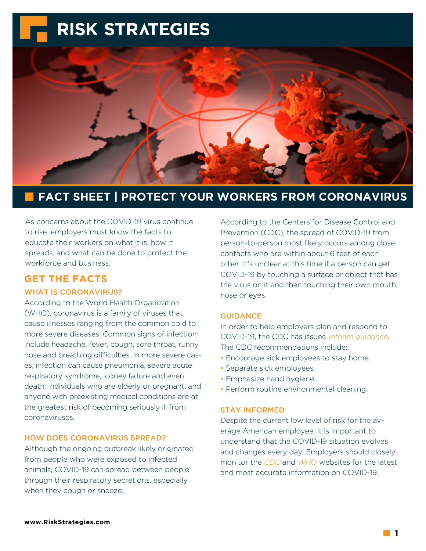

### **FACT SHEET | PROTECT YOUR WORKERS FROM CORONAVIRUS**

As concerns about the COVID-19 virus continue to rise, employers must know the facts to educate their workers on what it is, how it spreads, and what can be done to protect the workforce and business.

#### **GET THE FACTS**

#### WHAT IS CORONAVIRUS?

According to the World Health Organization (WHO), coronavirus is a family of viruses that cause illnesses ranging from the common cold to more severe diseases. Common signs of infection include headache, fever, cough, sore throat, runny nose and breathing difficulties. In more severe cases, infection can cause pneumonia, severe acute respiratory syndrome, kidney failure and even death. Individuals who are elderly or pregnant, and anyone with preexisting medical conditions are at the greatest risk of becoming seriously ill from coronaviruses.

#### HOW DOES CORONAVIRUS SPREAD?

Although the ongoing outbreak likely originated from people who were exposed to infected animals, COVID-19 can spread between people through their respiratory secretions, especially when they cough or sneeze.

According to the Centers for Disease Control and Prevention (CDC), the spread of COVID-19 from person-to-person most likely occurs among close contacts who are within about 6 feet of each other. It's unclear at this time if a person can get COVID-19 by touching a surface or object that has the virus on it and then touching their own mouth, nose or eyes.

#### GUIDANCE

In order to help employers plan and respond to COVID-19, the CDC has issued *[interim guidance](https://www.cdc.gov/coronavirus/2019-ncov/specific-groups/guidance-business-response.html?CDC_AA_refVal=https%3A%2F%2Fwww.cdc.gov%2Fcoronavirus%2F2019-ncov%2Fguidance-business-response.html)*. The CDC recommendations include:

- Encourage sick employees to stay home.
- Separate sick employees.
- Emphasize hand hygiene.
- Perform routine environmental cleaning.

#### STAY INFORMED

Despite the current low level of risk for the average American employee, it is important to understand that the COVID-19 situation evolves and changes every day. Employers should closely monitor the *[CDC](https://www.cdc.gov/coronavirus/2019-ncov/index.html)* and *[WHO](https://www.who.int/health-topics/coronavirus)* websites for the latest and most accurate information on COVID-19.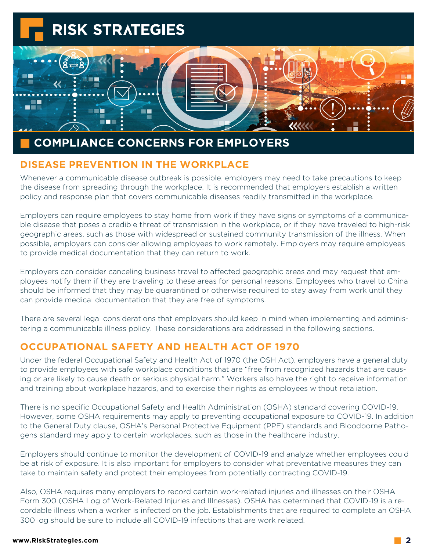

### **COMPLIANCE CONCERNS FOR EMPLOYERS**

#### **DISEASE PREVENTION IN THE WORKPLACE**

Whenever a communicable disease outbreak is possible, employers may need to take precautions to keep the disease from spreading through the workplace. It is recommended that employers establish a written policy and response plan that covers communicable diseases readily transmitted in the workplace.

Employers can require employees to stay home from work if they have signs or symptoms of a communicable disease that poses a credible threat of transmission in the workplace, or if they have traveled to high-risk geographic areas, such as those with widespread or sustained community transmission of the illness. When possible, employers can consider allowing employees to work remotely. Employers may require employees to provide medical documentation that they can return to work.

Employers can consider canceling business travel to affected geographic areas and may request that employees notify them if they are traveling to these areas for personal reasons. Employees who travel to China should be informed that they may be quarantined or otherwise required to stay away from work until they can provide medical documentation that they are free of symptoms.

There are several legal considerations that employers should keep in mind when implementing and administering a communicable illness policy. These considerations are addressed in the following sections.

#### **OCCUPATIONAL SAFETY AND HEALTH ACT OF 1970**

Under the federal Occupational Safety and Health Act of 1970 (the OSH Act), employers have a general duty to provide employees with safe workplace conditions that are "free from recognized hazards that are causing or are likely to cause death or serious physical harm." Workers also have the right to receive information and training about workplace hazards, and to exercise their rights as employees without retaliation.

There is no specific Occupational Safety and Health Administration (OSHA) standard covering COVID-19. However, some OSHA requirements may apply to preventing occupational exposure to COVID-19. In addition to the General Duty clause, OSHA's Personal Protective Equipment (PPE) standards and Bloodborne Pathogens standard may apply to certain workplaces, such as those in the healthcare industry.

Employers should continue to monitor the development of COVID-19 and analyze whether employees could be at risk of exposure. It is also important for employers to consider what preventative measures they can take to maintain safety and protect their employees from potentially contracting COVID-19.

Also, OSHA requires many employers to record certain work-related injuries and illnesses on their OSHA Form 300 (OSHA Log of Work-Related Injuries and Illnesses). OSHA has determined that COVID-19 is a recordable illness when a worker is infected on the job. Establishments that are required to complete an OSHA 300 log should be sure to include all COVID-19 infections that are work related.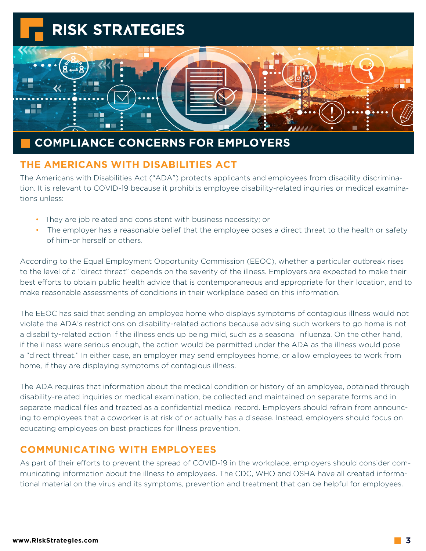

## **COMPLIANCE CONCERNS FOR EMPLOYERS**

#### **THE AMERICANS WITH DISABILITIES ACT**

The Americans with Disabilities Act ("ADA") protects applicants and employees from disability discrimination. It is relevant to COVID-19 because it prohibits employee disability-related inquiries or medical examinations unless:

- They are job related and consistent with business necessity; or
- The employer has a reasonable belief that the employee poses a direct threat to the health or safety of him-or herself or others.

According to the Equal Employment Opportunity Commission (EEOC), whether a particular outbreak rises to the level of a "direct threat" depends on the severity of the illness. Employers are expected to make their best efforts to obtain public health advice that is contemporaneous and appropriate for their location, and to make reasonable assessments of conditions in their workplace based on this information.

The EEOC has said that sending an employee home who displays symptoms of contagious illness would not violate the ADA's restrictions on disability-related actions because advising such workers to go home is not a disability-related action if the illness ends up being mild, such as a seasonal influenza. On the other hand, if the illness were serious enough, the action would be permitted under the ADA as the illness would pose a "direct threat." In either case, an employer may send employees home, or allow employees to work from home, if they are displaying symptoms of contagious illness.

The ADA requires that information about the medical condition or history of an employee, obtained through disability-related inquiries or medical examination, be collected and maintained on separate forms and in separate medical files and treated as a confidential medical record. Employers should refrain from announcing to employees that a coworker is at risk of or actually has a disease. Instead, employers should focus on educating employees on best practices for illness prevention.

#### **COMMUNICATING WITH EMPLOYEES**

As part of their efforts to prevent the spread of COVID-19 in the workplace, employers should consider communicating information about the illness to employees. The CDC, WHO and OSHA have all created informational material on the virus and its symptoms, prevention and treatment that can be helpful for employees.